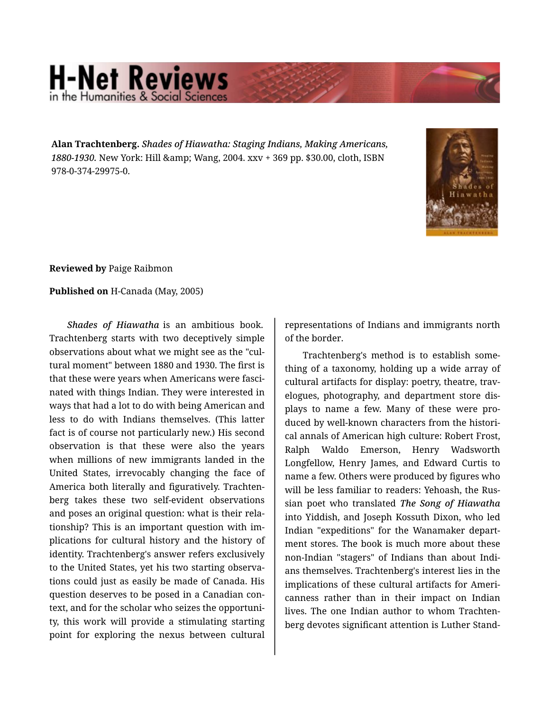## **H-Net Reviews** in the Humanities & Social Scie

**Alan Trachtenberg.** *Shades of Hiawatha: Staging Indians, Making Americans,* 1880-1930. New York: Hill & amp; Wang, 2004. xxv + 369 pp. \$30.00, cloth, ISBN 978-0-374-29975-0.



**Reviewed by** Paige Raibmon

**Published on** H-Canada (May, 2005)

*Shades of Hiawatha* is an ambitious book. Trachtenberg starts with two deceptively simple observations about what we might see as the "cul‐ tural moment" between 1880 and 1930. The first is that these were years when Americans were fasci‐ nated with things Indian. They were interested in ways that had a lot to do with being American and less to do with Indians themselves. (This latter fact is of course not particularly new.) His second observation is that these were also the years when millions of new immigrants landed in the United States, irrevocably changing the face of America both literally and figuratively. Trachten‐ berg takes these two self-evident observations and poses an original question: what is their rela‐ tionship? This is an important question with im‐ plications for cultural history and the history of identity. Trachtenberg's answer refers exclusively to the United States, yet his two starting observa‐ tions could just as easily be made of Canada. His question deserves to be posed in a Canadian con‐ text, and for the scholar who seizes the opportuni‐ ty, this work will provide a stimulating starting point for exploring the nexus between cultural representations of Indians and immigrants north of the border.

Trachtenberg's method is to establish some‐ thing of a taxonomy, holding up a wide array of cultural artifacts for display: poetry, theatre, trav‐ elogues, photography, and department store dis‐ plays to name a few. Many of these were pro‐ duced by well-known characters from the histori‐ cal annals of American high culture: Robert Frost, Ralph Waldo Emerson, Henry Wadsworth Longfellow, Henry James, and Edward Curtis to name a few. Others were produced by figures who will be less familiar to readers: Yehoash, the Rus‐ sian poet who translated *The Song of Hiawatha* into Yiddish, and Joseph Kossuth Dixon, who led Indian "expeditions" for the Wanamaker depart‐ ment stores. The book is much more about these non-Indian "stagers" of Indians than about Indi‐ ans themselves. Trachtenberg's interest lies in the implications of these cultural artifacts for Ameri‐ canness rather than in their impact on Indian lives. The one Indian author to whom Trachten‐ berg devotes significant attention is Luther Stand‐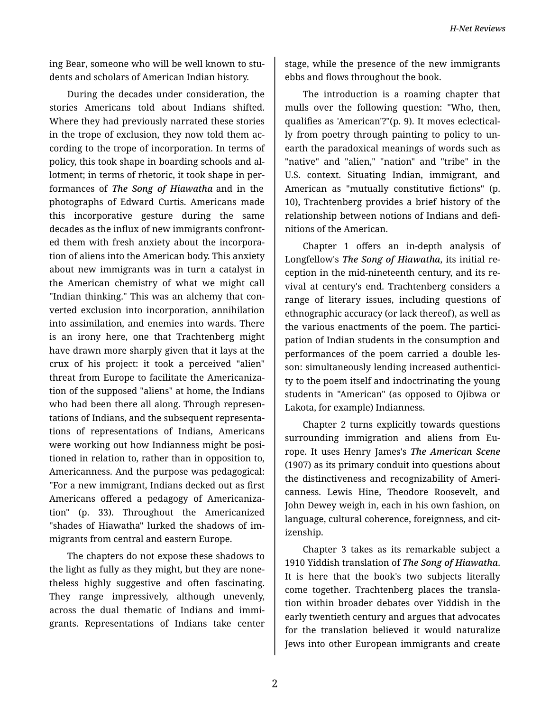ing Bear, someone who will be well known to stu‐ dents and scholars of American Indian history.

During the decades under consideration, the stories Americans told about Indians shifted. Where they had previously narrated these stories in the trope of exclusion, they now told them according to the trope of incorporation. In terms of policy, this took shape in boarding schools and al‐ lotment; in terms of rhetoric, it took shape in per‐ formances of *The Song of Hiawatha* and in the photographs of Edward Curtis. Americans made this incorporative gesture during the same decades as the influx of new immigrants confront‐ ed them with fresh anxiety about the incorpora‐ tion of aliens into the American body. This anxiety about new immigrants was in turn a catalyst in the American chemistry of what we might call "Indian thinking." This was an alchemy that con‐ verted exclusion into incorporation, annihilation into assimilation, and enemies into wards. There is an irony here, one that Trachtenberg might have drawn more sharply given that it lays at the crux of his project: it took a perceived "alien" threat from Europe to facilitate the Americaniza‐ tion of the supposed "aliens" at home, the Indians who had been there all along. Through represen‐ tations of Indians, and the subsequent representa‐ tions of representations of Indians, Americans were working out how Indianness might be posi‐ tioned in relation to, rather than in opposition to, Americanness. And the purpose was pedagogical: "For a new immigrant, Indians decked out as first Americans offered a pedagogy of Americaniza‐ tion" (p. 33). Throughout the Americanized "shades of Hiawatha" lurked the shadows of im‐ migrants from central and eastern Europe.

The chapters do not expose these shadows to the light as fully as they might, but they are none‐ theless highly suggestive and often fascinating. They range impressively, although unevenly, across the dual thematic of Indians and immi‐ grants. Representations of Indians take center stage, while the presence of the new immigrants ebbs and flows throughout the book.

The introduction is a roaming chapter that mulls over the following question: "Who, then, qualifies as 'American'?"(p. 9). It moves eclectical‐ ly from poetry through painting to policy to un‐ earth the paradoxical meanings of words such as "native" and "alien," "nation" and "tribe" in the U.S. context. Situating Indian, immigrant, and American as "mutually constitutive fictions" (p. 10), Trachtenberg provides a brief history of the relationship between notions of Indians and defi‐ nitions of the American.

Chapter 1 offers an in-depth analysis of Longfellow's *The Song of Hiawatha*, its initial re‐ ception in the mid-nineteenth century, and its re‐ vival at century's end. Trachtenberg considers a range of literary issues, including questions of ethnographic accuracy (or lack thereof), as well as the various enactments of the poem. The partici‐ pation of Indian students in the consumption and performances of the poem carried a double les‐ son: simultaneously lending increased authenticity to the poem itself and indoctrinating the young students in "American" (as opposed to Ojibwa or Lakota, for example) Indianness.

Chapter 2 turns explicitly towards questions surrounding immigration and aliens from Europe. It uses Henry James's *The American Scene* (1907) as its primary conduit into questions about the distinctiveness and recognizability of Ameri‐ canness. Lewis Hine, Theodore Roosevelt, and John Dewey weigh in, each in his own fashion, on language, cultural coherence, foreignness, and citizenship.

Chapter 3 takes as its remarkable subject a 1910 Yiddish translation of *The Song of Hiawatha*. It is here that the book's two subjects literally come together. Trachtenberg places the transla‐ tion within broader debates over Yiddish in the early twentieth century and argues that advocates for the translation believed it would naturalize Jews into other European immigrants and create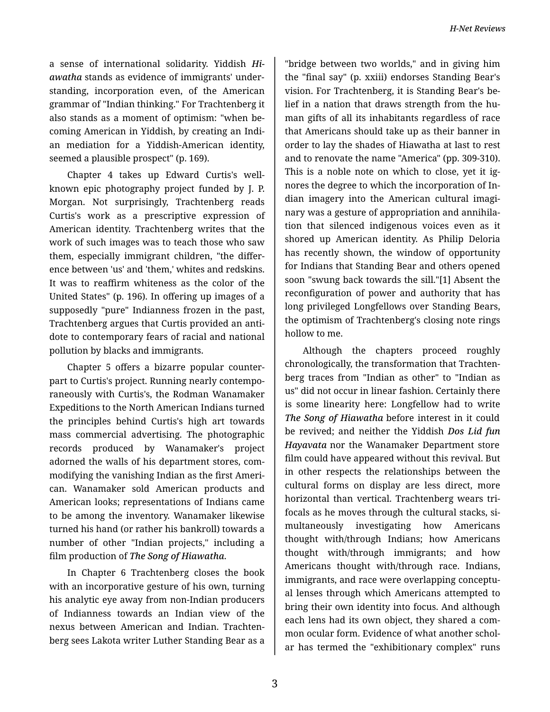a sense of international solidarity. Yiddish *Hi‐ awatha* stands as evidence of immigrants' under‐ standing, incorporation even, of the American grammar of "Indian thinking." For Trachtenberg it also stands as a moment of optimism: "when be‐ coming American in Yiddish, by creating an Indi‐ an mediation for a Yiddish-American identity, seemed a plausible prospect" (p. 169).

Chapter 4 takes up Edward Curtis's wellknown epic photography project funded by J. P. Morgan. Not surprisingly, Trachtenberg reads Curtis's work as a prescriptive expression of American identity. Trachtenberg writes that the work of such images was to teach those who saw them, especially immigrant children, "the differ‐ ence between 'us' and 'them,' whites and redskins. It was to reaffirm whiteness as the color of the United States" (p. 196). In offering up images of a supposedly "pure" Indianness frozen in the past, Trachtenberg argues that Curtis provided an anti‐ dote to contemporary fears of racial and national pollution by blacks and immigrants.

Chapter 5 offers a bizarre popular counter‐ part to Curtis's project. Running nearly contempo‐ raneously with Curtis's, the Rodman Wanamaker Expeditions to the North American Indians turned the principles behind Curtis's high art towards mass commercial advertising. The photographic records produced by Wanamaker's project adorned the walls of his department stores, com‐ modifying the vanishing Indian as the first Ameri‐ can. Wanamaker sold American products and American looks; representations of Indians came to be among the inventory. Wanamaker likewise turned his hand (or rather his bankroll) towards a number of other "Indian projects," including a film production of *The Song of Hiawatha*.

In Chapter 6 Trachtenberg closes the book with an incorporative gesture of his own, turning his analytic eye away from non-Indian producers of Indianness towards an Indian view of the nexus between American and Indian. Trachten‐ berg sees Lakota writer Luther Standing Bear as a

"bridge between two worlds," and in giving him the "final say" (p. xxiii) endorses Standing Bear's vision. For Trachtenberg, it is Standing Bear's be‐ lief in a nation that draws strength from the hu‐ man gifts of all its inhabitants regardless of race that Americans should take up as their banner in order to lay the shades of Hiawatha at last to rest and to renovate the name "America" (pp. 309-310). This is a noble note on which to close, yet it ig‐ nores the degree to which the incorporation of In‐ dian imagery into the American cultural imagi‐ nary was a gesture of appropriation and annihila‐ tion that silenced indigenous voices even as it shored up American identity. As Philip Deloria has recently shown, the window of opportunity for Indians that Standing Bear and others opened soon "swung back towards the sill."[1] Absent the reconfiguration of power and authority that has long privileged Longfellows over Standing Bears, the optimism of Trachtenberg's closing note rings hollow to me.

Although the chapters proceed roughly chronologically, the transformation that Trachten‐ berg traces from "Indian as other" to "Indian as us" did not occur in linear fashion. Certainly there is some linearity here: Longfellow had to write *The Song of Hiawatha* before interest in it could be revived; and neither the Yiddish *Dos Lid fun Hayavata* nor the Wanamaker Department store film could have appeared without this revival. But in other respects the relationships between the cultural forms on display are less direct, more horizontal than vertical. Trachtenberg wears tri‐ focals as he moves through the cultural stacks, si‐ multaneously investigating how Americans thought with/through Indians; how Americans thought with/through immigrants; and how Americans thought with/through race. Indians, immigrants, and race were overlapping conceptu‐ al lenses through which Americans attempted to bring their own identity into focus. And although each lens had its own object, they shared a com‐ mon ocular form. Evidence of what another schol‐ ar has termed the "exhibitionary complex" runs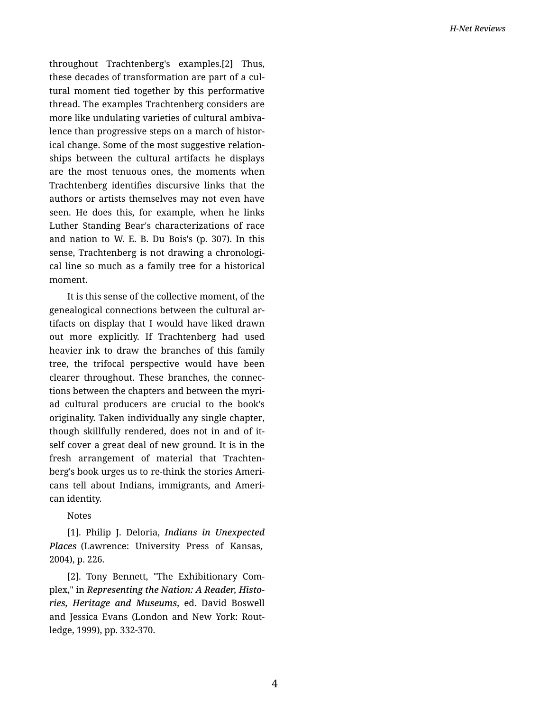throughout Trachtenberg's examples.[2] Thus, these decades of transformation are part of a cul‐ tural moment tied together by this performative thread. The examples Trachtenberg considers are more like undulating varieties of cultural ambiva‐ lence than progressive steps on a march of histor‐ ical change. Some of the most suggestive relation‐ ships between the cultural artifacts he displays are the most tenuous ones, the moments when Trachtenberg identifies discursive links that the authors or artists themselves may not even have seen. He does this, for example, when he links Luther Standing Bear's characterizations of race and nation to W. E. B. Du Bois's (p. 307). In this sense, Trachtenberg is not drawing a chronological line so much as a family tree for a historical moment.

It is this sense of the collective moment, of the genealogical connections between the cultural ar‐ tifacts on display that I would have liked drawn out more explicitly. If Trachtenberg had used heavier ink to draw the branches of this family tree, the trifocal perspective would have been clearer throughout. These branches, the connec‐ tions between the chapters and between the myri‐ ad cultural producers are crucial to the book's originality. Taken individually any single chapter, though skillfully rendered, does not in and of it‐ self cover a great deal of new ground. It is in the fresh arrangement of material that Trachtenberg's book urges us to re-think the stories Ameri‐ cans tell about Indians, immigrants, and Ameri‐ can identity.

Notes

[1]. Philip J. Deloria, *Indians in Unexpected Places* (Lawrence: University Press of Kansas, 2004), p. 226.

[2]. Tony Bennett, "The Exhibitionary Com‐ plex," in *Representing the Nation: A Reader, Histo‐ ries, Heritage and Museums*, ed. David Boswell and Jessica Evans (London and New York: Rout‐ ledge, 1999), pp. 332-370.